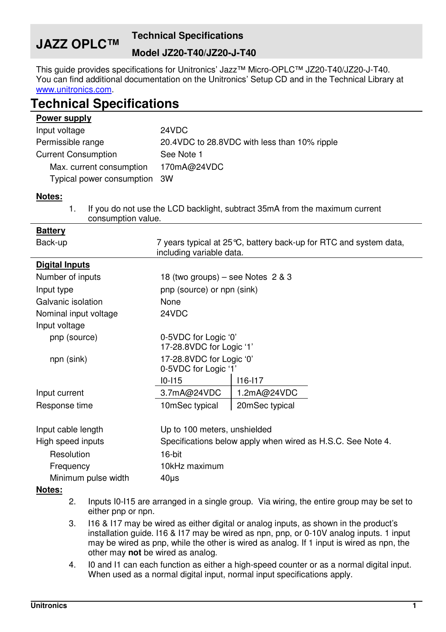## **JAZZ OPLC™ Technical Specifications Model JZ20-T40/JZ20-J-T40**

This guide provides specifications for Unitronics' Jazz™ Micro-OPLC™ JZ20-T40/JZ20-J-T40. You can find additional documentation on the Unitronics' Setup CD and in the Technical Library at www.unitronics.com.

## **Technical Specifications**

| Power supply                 |                                                |
|------------------------------|------------------------------------------------|
| Input voltage                | 24VDC                                          |
| Permissible range            | 20.4 VDC to 28.8 VDC with less than 10% ripple |
| <b>Current Consumption</b>   | See Note 1                                     |
| Max. current consumption     | 170mA@24VDC                                    |
| Typical power consumption 3W |                                                |
| Notes:                       |                                                |

1. If you do not use the LCD backlight, subtract 35mA from the maximum current consumption value.

| <u>Dallei y</u>       |                                                             |                                                                    |
|-----------------------|-------------------------------------------------------------|--------------------------------------------------------------------|
| Back-up               | including variable data.                                    | 7 years typical at 25 °C, battery back-up for RTC and system data, |
| <b>Digital Inputs</b> |                                                             |                                                                    |
| Number of inputs      | 18 (two groups) – see Notes $2 & 3$                         |                                                                    |
| Input type            | pnp (source) or npn (sink)                                  |                                                                    |
| Galvanic isolation    | None                                                        |                                                                    |
| Nominal input voltage | 24VDC                                                       |                                                                    |
| Input voltage         |                                                             |                                                                    |
| pnp (source)          | 0-5VDC for Logic '0'<br>17-28.8VDC for Logic '1'            |                                                                    |
| npn (sink)            | 17-28.8VDC for Logic '0'<br>0-5VDC for Logic '1'            |                                                                    |
|                       | $10 - 115$                                                  | $116 - 117$                                                        |
| Input current         | 3.7mA@24VDC                                                 | 1.2mA@24VDC                                                        |
| Response time         | 10mSec typical                                              | 20mSec typical                                                     |
| Input cable length    | Up to 100 meters, unshielded                                |                                                                    |
| High speed inputs     | Specifications below apply when wired as H.S.C. See Note 4. |                                                                    |
| Resolution            | 16-bit                                                      |                                                                    |
| Frequency             | 10kHz maximum                                               |                                                                    |
| Minimum pulse width   | $40\mu s$                                                   |                                                                    |
|                       |                                                             |                                                                    |

## **Notes:**

**Battery** 

- 2. Inputs I0-I15 are arranged in a single group. Via wiring, the entire group may be set to either pnp or npn.
- 3. I16 & I17 may be wired as either digital or analog inputs, as shown in the product's installation guide. I16 & I17 may be wired as npn, pnp, or 0-10V analog inputs. 1 input may be wired as pnp, while the other is wired as analog. If 1 input is wired as npn, the other may **not** be wired as analog.
- 4. I0 and I1 can each function as either a high-speed counter or as a normal digital input. When used as a normal digital input, normal input specifications apply.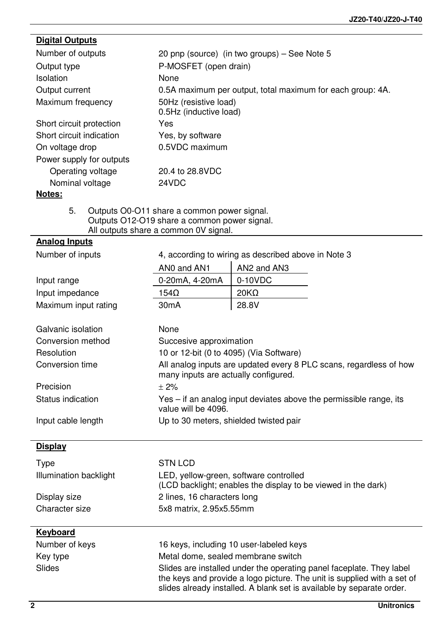| <b>Digital Outputs</b>   |                                                                                             |  |
|--------------------------|---------------------------------------------------------------------------------------------|--|
| Number of outputs        | 20 pnp (source) (in two groups) – See Note 5                                                |  |
| Output type              | P-MOSFET (open drain)                                                                       |  |
| <b>Isolation</b>         | None                                                                                        |  |
| Output current           | 0.5A maximum per output, total maximum for each group: 4A.                                  |  |
| Maximum frequency        | 50Hz (resistive load)<br>0.5Hz (inductive load)                                             |  |
| Short circuit protection | Yes                                                                                         |  |
| Short circuit indication | Yes, by software                                                                            |  |
| On voltage drop          | 0.5VDC maximum                                                                              |  |
| Power supply for outputs |                                                                                             |  |
| Operating voltage        | 20.4 to 28.8VDC                                                                             |  |
| Nominal voltage          | 24VDC                                                                                       |  |
| Notes:                   |                                                                                             |  |
| 5.                       | Outputs O0-O11 share a common power signal.<br>Outputs O12-O19 share a common power signal. |  |

All outputs share a common 0V signal.

## **Analog Inputs**

| Number of inputs       | 4, according to wiring as described above in Note 3                                                        |                                                                                                                                                                                                                          |  |
|------------------------|------------------------------------------------------------------------------------------------------------|--------------------------------------------------------------------------------------------------------------------------------------------------------------------------------------------------------------------------|--|
|                        | ANO and AN1                                                                                                | AN2 and AN3                                                                                                                                                                                                              |  |
| Input range            | 0-20mA, 4-20mA                                                                                             | $0-10VDC$                                                                                                                                                                                                                |  |
| Input impedance        | $154\Omega$                                                                                                | $20K\Omega$                                                                                                                                                                                                              |  |
| Maximum input rating   | 30 <sub>m</sub> A                                                                                          | 28.8V                                                                                                                                                                                                                    |  |
| Galvanic isolation     | None                                                                                                       |                                                                                                                                                                                                                          |  |
| Conversion method      | Succesive approximation                                                                                    |                                                                                                                                                                                                                          |  |
| Resolution             | 10 or 12-bit (0 to 4095) (Via Software)                                                                    |                                                                                                                                                                                                                          |  |
| Conversion time        | All analog inputs are updated every 8 PLC scans, regardless of how<br>many inputs are actually configured. |                                                                                                                                                                                                                          |  |
| Precision              | $+2%$                                                                                                      |                                                                                                                                                                                                                          |  |
| Status indication      | value will be 4096.                                                                                        | Yes – if an analog input deviates above the permissible range, its                                                                                                                                                       |  |
| Input cable length     | Up to 30 meters, shielded twisted pair                                                                     |                                                                                                                                                                                                                          |  |
| <b>Display</b>         |                                                                                                            |                                                                                                                                                                                                                          |  |
| Type                   | <b>STN LCD</b>                                                                                             |                                                                                                                                                                                                                          |  |
| Illumination backlight | LED, yellow-green, software controlled                                                                     | (LCD backlight; enables the display to be viewed in the dark)                                                                                                                                                            |  |
| Display size           | 2 lines, 16 characters long                                                                                |                                                                                                                                                                                                                          |  |
| Character size         | 5x8 matrix, 2.95x5.55mm                                                                                    |                                                                                                                                                                                                                          |  |
| <b>Keyboard</b>        |                                                                                                            |                                                                                                                                                                                                                          |  |
| Number of keys         |                                                                                                            | 16 keys, including 10 user-labeled keys                                                                                                                                                                                  |  |
| Key type               | Metal dome, sealed membrane switch                                                                         |                                                                                                                                                                                                                          |  |
| Slides                 |                                                                                                            | Slides are installed under the operating panel faceplate. They label<br>the keys and provide a logo picture. The unit is supplied with a set of<br>slides already installed. A blank set is available by separate order. |  |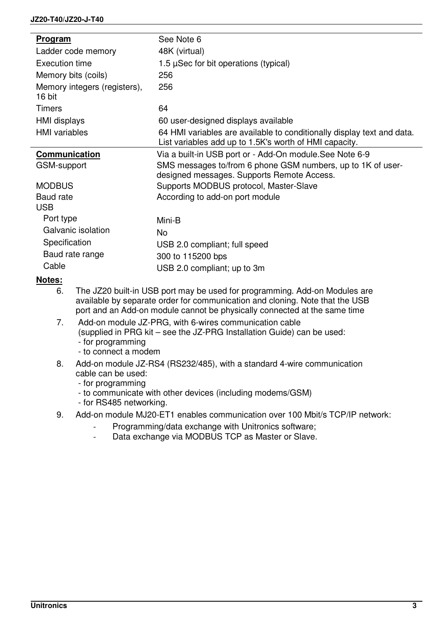| <b>Program</b>                         | See Note 6                                                                                                                       |
|----------------------------------------|----------------------------------------------------------------------------------------------------------------------------------|
| Ladder code memory                     | 48K (virtual)                                                                                                                    |
| Execution time                         | 1.5 $\mu$ Sec for bit operations (typical)                                                                                       |
| Memory bits (coils)                    | 256                                                                                                                              |
| Memory integers (registers),<br>16 bit | 256                                                                                                                              |
| Timers                                 | 64                                                                                                                               |
| HMI displays                           | 60 user-designed displays available                                                                                              |
| <b>HMI</b> variables                   | 64 HMI variables are available to conditionally display text and data.<br>List variables add up to 1.5K's worth of HMI capacity. |
| Communication                          | Via a built-in USB port or - Add-On module. See Note 6-9                                                                         |
| GSM-support                            | SMS messages to/from 6 phone GSM numbers, up to 1K of user-<br>designed messages. Supports Remote Access.                        |
| <b>MODBUS</b>                          | Supports MODBUS protocol, Master-Slave                                                                                           |
| Baud rate                              | According to add-on port module                                                                                                  |
| <b>USB</b>                             |                                                                                                                                  |
| Port type                              | Mini-B                                                                                                                           |
| Galvanic isolation                     | No.                                                                                                                              |
| Specification                          | USB 2.0 compliant; full speed                                                                                                    |
| Baud rate range                        | 300 to 115200 bps                                                                                                                |
| Cable                                  | USB 2.0 compliant; up to 3m                                                                                                      |
| Notes:                                 |                                                                                                                                  |

- 6. The JZ20 built-in USB port may be used for programming. Add-on Modules are available by separate order for communication and cloning. Note that the USB port and an Add-on module cannot be physically connected at the same time
- 7. Add-on module JZ-PRG, with 6-wires communication cable (supplied in PRG kit – see the JZ-PRG Installation Guide) can be used:
	- for programming - to connect a modem
- 8. Add-on module JZ-RS4 (RS232/485), with a standard 4-wire communication cable can be used:
	- for programming
	- to communicate with other devices (including modems/GSM)
	- for RS485 networking.
- 9. Add-on module MJ20-ET1 enables communication over 100 Mbit/s TCP/IP network:
	- Programming/data exchange with Unitronics software;
	- Data exchange via MODBUS TCP as Master or Slave.